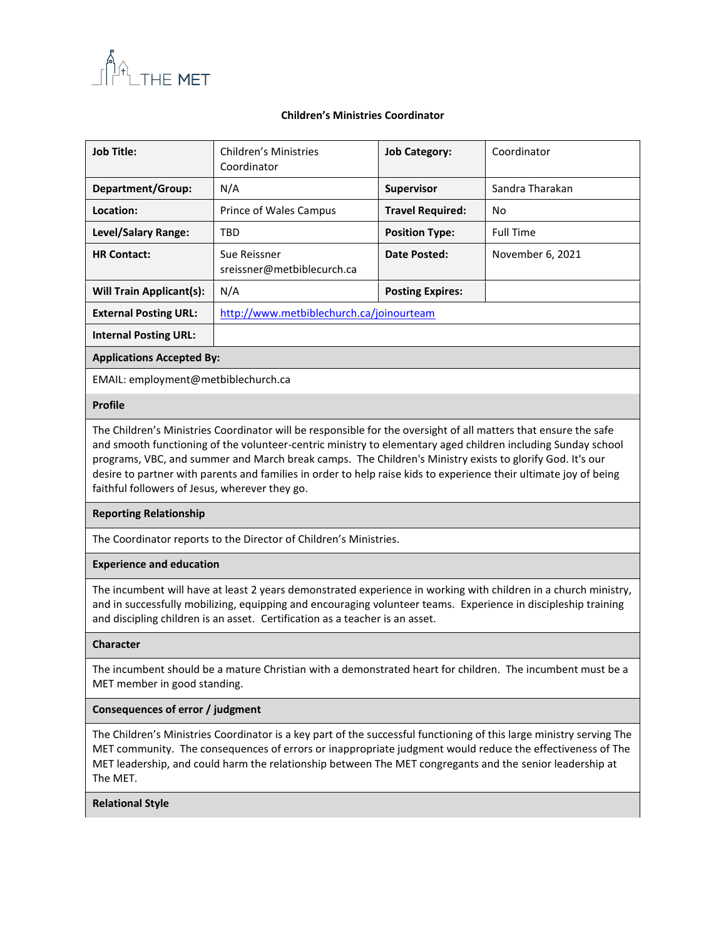

### **Children's Ministries Coordinator**

| <b>Job Title:</b>                | Children's Ministries<br>Coordinator       | <b>Job Category:</b>    | Coordinator      |  |
|----------------------------------|--------------------------------------------|-------------------------|------------------|--|
| Department/Group:                | N/A                                        | <b>Supervisor</b>       | Sandra Tharakan  |  |
| Location:                        | Prince of Wales Campus                     | <b>Travel Required:</b> | No               |  |
| <b>Level/Salary Range:</b>       | TBD                                        | <b>Position Type:</b>   | <b>Full Time</b> |  |
| <b>HR Contact:</b>               | Sue Reissner<br>sreissner@metbiblecurch.ca | Date Posted:            | November 6, 2021 |  |
| <b>Will Train Applicant(s):</b>  | N/A                                        | <b>Posting Expires:</b> |                  |  |
| <b>External Posting URL:</b>     | http://www.metbiblechurch.ca/joinourteam   |                         |                  |  |
| <b>Internal Posting URL:</b>     |                                            |                         |                  |  |
| <b>Applications Accepted By:</b> |                                            |                         |                  |  |
|                                  |                                            |                         |                  |  |

EMAIL: employment@metbiblechurch.ca

## **Profile**

The Children's Ministries Coordinator will be responsible for the oversight of all matters that ensure the safe and smooth functioning of the volunteer-centric ministry to elementary aged children including Sunday school programs, VBC, and summer and March break camps. The Children's Ministry exists to glorify God. It's our desire to partner with parents and families in order to help raise kids to experience their ultimate joy of being faithful followers of Jesus, wherever they go.

## **Reporting Relationship**

The Coordinator reports to the Director of Children's Ministries.

### **Experience and education**

The incumbent will have at least 2 years demonstrated experience in working with children in a church ministry, and in successfully mobilizing, equipping and encouraging volunteer teams. Experience in discipleship training and discipling children is an asset. Certification as a teacher is an asset.

#### **Character**

The incumbent should be a mature Christian with a demonstrated heart for children. The incumbent must be a MET member in good standing.

#### **Consequences of error / judgment**

The Children's Ministries Coordinator is a key part of the successful functioning of this large ministry serving The MET community. The consequences of errors or inappropriate judgment would reduce the effectiveness of The MET leadership, and could harm the relationship between The MET congregants and the senior leadership at The MET.

#### **Relational Style**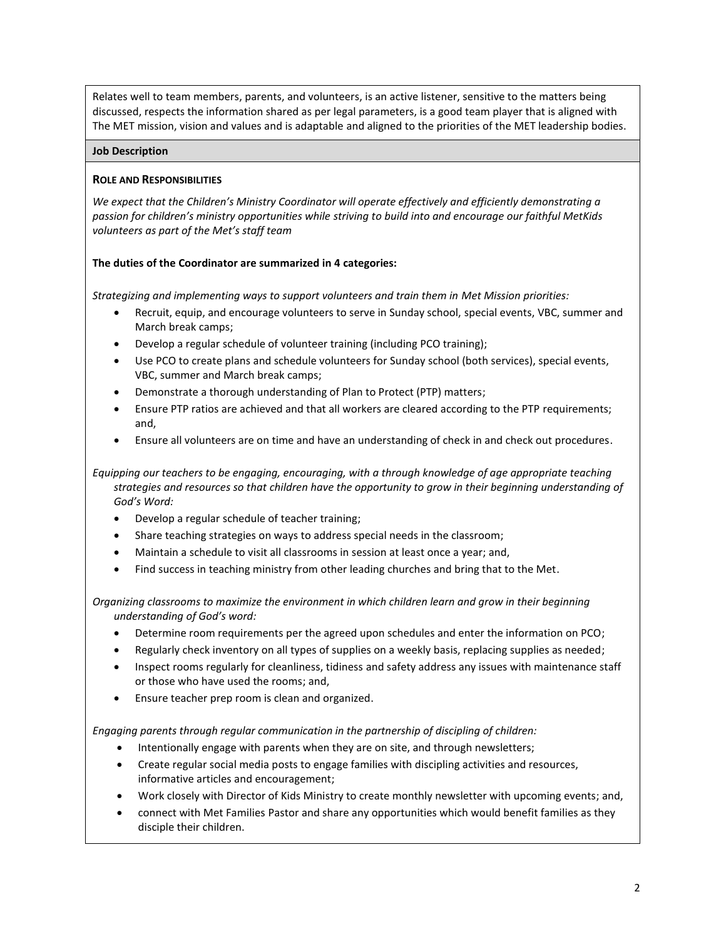Relates well to team members, parents, and volunteers, is an active listener, sensitive to the matters being discussed, respects the information shared as per legal parameters, is a good team player that is aligned with The MET mission, vision and values and is adaptable and aligned to the priorities of the MET leadership bodies.

### **Job Description**

## **ROLE AND RESPONSIBILITIES**

*We expect that the Children's Ministry Coordinator will operate effectively and efficiently demonstrating a passion for children's ministry opportunities while striving to build into and encourage our faithful MetKids volunteers as part of the Met's staff team*

### **The duties of the Coordinator are summarized in 4 categories:**

*Strategizing and implementing ways to support volunteers and train them in Met Mission priorities:*

- Recruit, equip, and encourage volunteers to serve in Sunday school, special events, VBC, summer and March break camps;
- Develop a regular schedule of volunteer training (including PCO training);
- Use PCO to create plans and schedule volunteers for Sunday school (both services), special events, VBC, summer and March break camps;
- Demonstrate a thorough understanding of Plan to Protect (PTP) matters;
- Ensure PTP ratios are achieved and that all workers are cleared according to the PTP requirements; and,
- Ensure all volunteers are on time and have an understanding of check in and check out procedures.

*Equipping our teachers to be engaging, encouraging, with a through knowledge of age appropriate teaching strategies and resources so that children have the opportunity to grow in their beginning understanding of God's Word:*

- Develop a regular schedule of teacher training;
- Share teaching strategies on ways to address special needs in the classroom;
- Maintain a schedule to visit all classrooms in session at least once a year; and,
- Find success in teaching ministry from other leading churches and bring that to the Met.

*Organizing classrooms to maximize the environment in which children learn and grow in their beginning understanding of God's word:* 

- Determine room requirements per the agreed upon schedules and enter the information on PCO;
- Regularly check inventory on all types of supplies on a weekly basis, replacing supplies as needed;
- Inspect rooms regularly for cleanliness, tidiness and safety address any issues with maintenance staff or those who have used the rooms; and,
- Ensure teacher prep room is clean and organized.

*Engaging parents through regular communication in the partnership of discipling of children:*

- Intentionally engage with parents when they are on site, and through newsletters;
- Create regular social media posts to engage families with discipling activities and resources, informative articles and encouragement;
- Work closely with Director of Kids Ministry to create monthly newsletter with upcoming events; and,
- connect with Met Families Pastor and share any opportunities which would benefit families as they disciple their children.